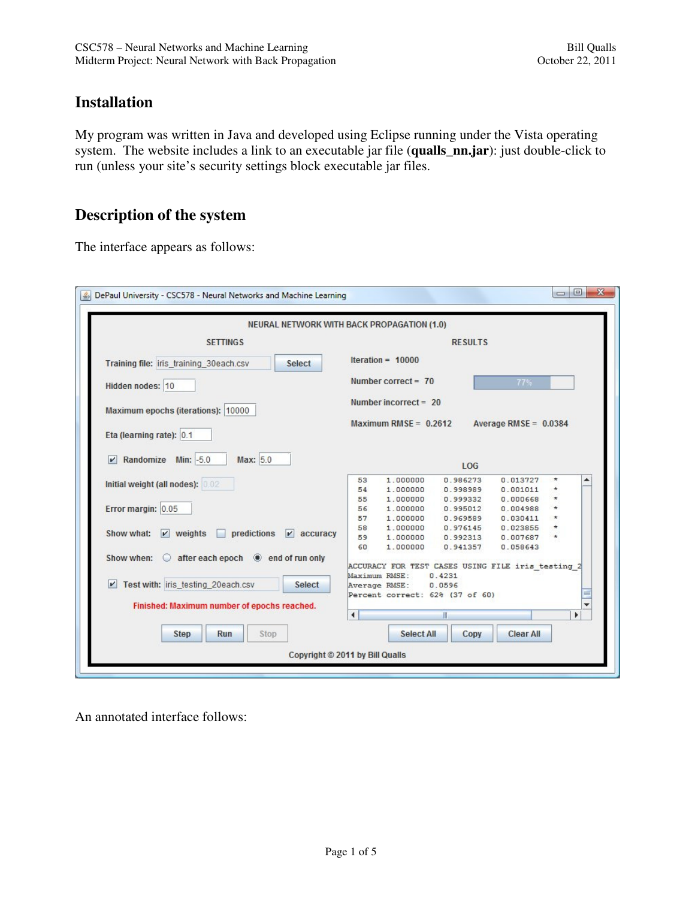## **Installation**

My program was written in Java and developed using Eclipse running under the Vista operating system. The website includes a link to an executable jar file (**qualls\_nn.jar**): just double-click to run (unless your site's security settings block executable jar files.

## **Description of the system**

The interface appears as follows:

|                                                                      | <b>NEURAL NETWORK WITH BACK PROPAGATION (1.0)</b>                                |  |  |  |
|----------------------------------------------------------------------|----------------------------------------------------------------------------------|--|--|--|
| <b>SETTINGS</b>                                                      | <b>RESULTS</b>                                                                   |  |  |  |
| Training file: iris_training_30each.csv<br>Select                    | Iteration = $10000$                                                              |  |  |  |
| Hidden nodes: 10                                                     | Number correct = $70$<br>77%                                                     |  |  |  |
| Maximum epochs (iterations): 10000                                   | Number incorrect = $20$                                                          |  |  |  |
| Eta (learning rate): 0.1                                             | Maximum RMSE = $0.2612$<br>Average RMSE = $0.0384$                               |  |  |  |
| Randomize Min: -5.0<br>Max: 5.0<br>$\mathbf{v}$                      | LOG                                                                              |  |  |  |
| Initial weight (all nodes): 0.02                                     | 0.986273<br>0.013727<br>53<br>1,000000<br>$\star$<br>۸                           |  |  |  |
|                                                                      | 54<br>1.000000<br>0.998989<br>0.001011                                           |  |  |  |
|                                                                      | 55<br>1,000000<br>0.999332<br>0.000668                                           |  |  |  |
| Error margin: 0.05                                                   | 56<br>1.000000<br>0.995012<br>0.004988<br>57<br>1,000000<br>0.969589<br>0.030411 |  |  |  |
|                                                                      | 58<br>1.000000<br>0.976145<br>0.023855                                           |  |  |  |
| Show what:<br>$\nu$ weights<br>predictions<br>$ v $ accuracy         | 59<br>1,000000<br>0.992313<br>0.007687                                           |  |  |  |
|                                                                      | 60<br>1.000000<br>0.941357<br>0.058643                                           |  |  |  |
| Show when: $\bigcirc$ after each epoch $\circledast$ end of run only |                                                                                  |  |  |  |
|                                                                      | ACCURACY FOR TEST CASES USING FILE iris testing 2                                |  |  |  |
|                                                                      | Maximum RMSE:<br>0.4231                                                          |  |  |  |
| V Test with: iris testing 20each.csv<br><b>Select</b>                | Average RMSE:<br>0.0596                                                          |  |  |  |
|                                                                      | Percent correct: 62% (37 of 60)                                                  |  |  |  |
| Finished: Maximum number of epochs reached.                          |                                                                                  |  |  |  |
|                                                                      | $\blacktriangleleft$<br>ь                                                        |  |  |  |
| Run<br>Stop<br><b>Step</b>                                           | <b>Clear All</b><br>Select All<br>Copy                                           |  |  |  |

An annotated interface follows: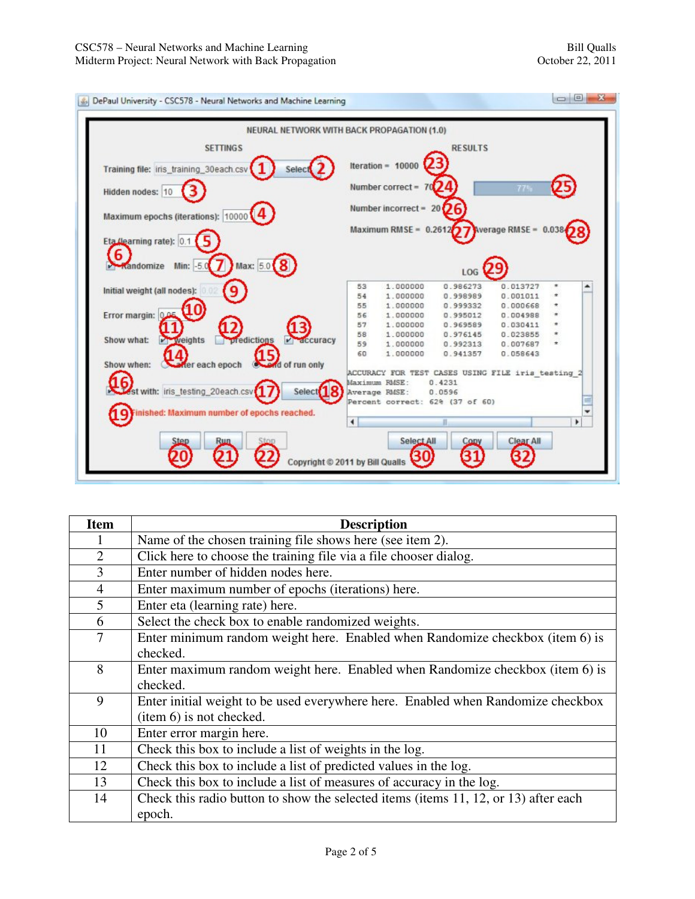| <b>SETTINGS</b>                                   | <b>RESULTS</b>                                                 |
|---------------------------------------------------|----------------------------------------------------------------|
| Training file: iris_training_30each.csv<br>Select | Iteration = $10000$                                            |
|                                                   | Number correct = 70                                            |
| Hidden nodes: 10                                  | 771.                                                           |
|                                                   | Number incorrect = $20$ $\overline{O}$ 6                       |
| Maximum epochs (iterations): 10000                |                                                                |
|                                                   | Maximum RMSE = $0.26127$ Werage RMSE = $0.038$                 |
| Eta (learning rate): 0.1                          |                                                                |
| 6                                                 |                                                                |
| Max: 5.0 8<br>Min: -5.0<br><b>A</b> Kandomize     | LOG                                                            |
|                                                   | 1.000000<br>0.986273<br>0.013727<br>53                         |
| Initial weight (all nodes):<br>9                  | 54<br>1.000000<br>0.998989<br>0.001011                         |
|                                                   | 55<br>1,000000<br>0.999332<br>0.000668                         |
| Error margin: 0.05                                | 56<br>1.000000<br>0.995012<br>0.004988                         |
|                                                   | 57<br>1,000000<br>0.969589<br>0.030411                         |
| Show what:<br>$V -$ weights<br>predictions        | 58<br>1.000000<br>0.976145<br>0.023855<br>$V$ $\alpha$ ccuracy |
|                                                   | 59<br>1.000000<br>0.992313<br>0.007687<br>$\star$              |
| 15) of run only                                   | 60<br>1.000000<br>0.941357<br>0.058643                         |
| Mer each epoch<br>Show when:                      | ACCURACY FOR TEST CASES USING FILE iris testing 2              |
|                                                   | Maximum RMSE:<br>0.4231                                        |
| st with: iris_testing_20each.csv<br>Select        | Average RMSE:<br>0.0596                                        |
|                                                   | Percent correct: 62% (37 of 60)                                |
| Finished: Maximum number of epochs reached.       |                                                                |
|                                                   | ٠<br>٠                                                         |
|                                                   |                                                                |

| <b>Item</b>    | <b>Description</b>                                                                  |  |  |  |
|----------------|-------------------------------------------------------------------------------------|--|--|--|
|                | Name of the chosen training file shows here (see item 2).                           |  |  |  |
| $\overline{2}$ | Click here to choose the training file via a file chooser dialog.                   |  |  |  |
| 3              | Enter number of hidden nodes here.                                                  |  |  |  |
| $\overline{4}$ | Enter maximum number of epochs (iterations) here.                                   |  |  |  |
| 5              | Enter eta (learning rate) here.                                                     |  |  |  |
| 6              | Select the check box to enable randomized weights.                                  |  |  |  |
| $\overline{7}$ | Enter minimum random weight here. Enabled when Randomize checkbox (item 6) is       |  |  |  |
|                | checked.                                                                            |  |  |  |
| 8              | Enter maximum random weight here. Enabled when Randomize checkbox (item 6) is       |  |  |  |
|                | checked.                                                                            |  |  |  |
| 9              | Enter initial weight to be used everywhere here. Enabled when Randomize checkbox    |  |  |  |
|                | (item 6) is not checked.                                                            |  |  |  |
| 10             | Enter error margin here.                                                            |  |  |  |
| 11             | Check this box to include a list of weights in the log.                             |  |  |  |
| 12             | Check this box to include a list of predicted values in the log.                    |  |  |  |
| 13             | Check this box to include a list of measures of accuracy in the log.                |  |  |  |
| 14             | Check this radio button to show the selected items (items 11, 12, or 13) after each |  |  |  |
|                | epoch.                                                                              |  |  |  |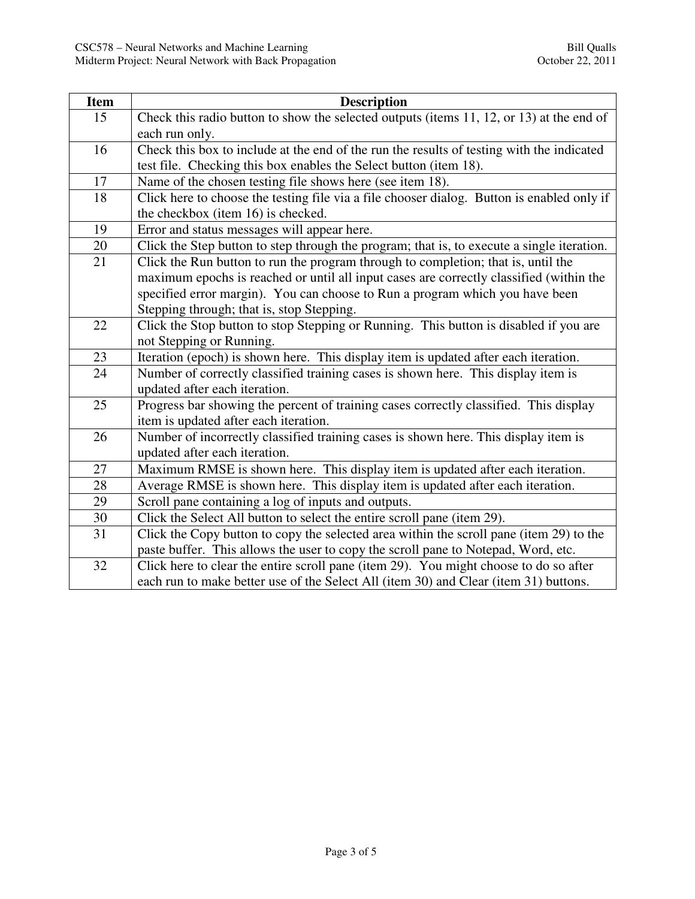| <b>Item</b> | <b>Description</b>                                                                         |  |  |  |  |
|-------------|--------------------------------------------------------------------------------------------|--|--|--|--|
| 15          | Check this radio button to show the selected outputs (items 11, 12, or 13) at the end of   |  |  |  |  |
|             | each run only.                                                                             |  |  |  |  |
| 16          | Check this box to include at the end of the run the results of testing with the indicated  |  |  |  |  |
|             | test file. Checking this box enables the Select button (item 18).                          |  |  |  |  |
| 17          | Name of the chosen testing file shows here (see item 18).                                  |  |  |  |  |
| 18          | Click here to choose the testing file via a file chooser dialog. Button is enabled only if |  |  |  |  |
|             | the checkbox (item 16) is checked.                                                         |  |  |  |  |
| 19          | Error and status messages will appear here.                                                |  |  |  |  |
| 20          | Click the Step button to step through the program; that is, to execute a single iteration. |  |  |  |  |
| 21          | Click the Run button to run the program through to completion; that is, until the          |  |  |  |  |
|             | maximum epochs is reached or until all input cases are correctly classified (within the    |  |  |  |  |
|             | specified error margin). You can choose to Run a program which you have been               |  |  |  |  |
|             | Stepping through; that is, stop Stepping.                                                  |  |  |  |  |
| 22          | Click the Stop button to stop Stepping or Running. This button is disabled if you are      |  |  |  |  |
|             | not Stepping or Running.                                                                   |  |  |  |  |
| 23          | Iteration (epoch) is shown here. This display item is updated after each iteration.        |  |  |  |  |
| 24          | Number of correctly classified training cases is shown here. This display item is          |  |  |  |  |
|             | updated after each iteration.                                                              |  |  |  |  |
| 25          | Progress bar showing the percent of training cases correctly classified. This display      |  |  |  |  |
|             | item is updated after each iteration.                                                      |  |  |  |  |
| 26          | Number of incorrectly classified training cases is shown here. This display item is        |  |  |  |  |
|             | updated after each iteration.                                                              |  |  |  |  |
| 27          | Maximum RMSE is shown here. This display item is updated after each iteration.             |  |  |  |  |
| 28          | Average RMSE is shown here. This display item is updated after each iteration.             |  |  |  |  |
| 29          | Scroll pane containing a log of inputs and outputs.                                        |  |  |  |  |
| 30          | Click the Select All button to select the entire scroll pane (item 29).                    |  |  |  |  |
| 31          | Click the Copy button to copy the selected area within the scroll pane (item 29) to the    |  |  |  |  |
|             | paste buffer. This allows the user to copy the scroll pane to Notepad, Word, etc.          |  |  |  |  |
| 32          | Click here to clear the entire scroll pane (item 29). You might choose to do so after      |  |  |  |  |
|             | each run to make better use of the Select All (item 30) and Clear (item 31) buttons.       |  |  |  |  |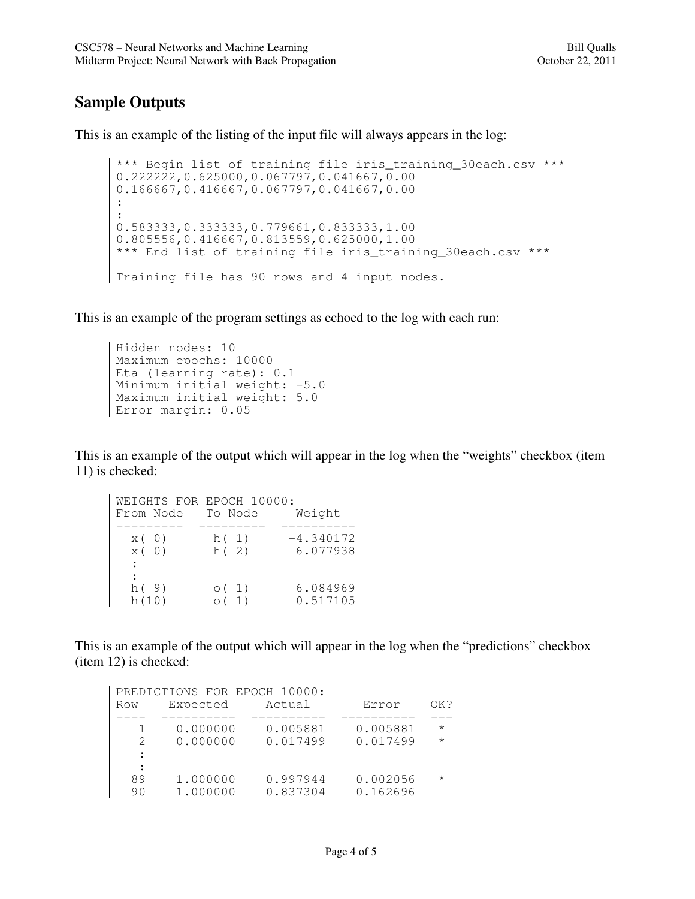## **Sample Outputs**

This is an example of the listing of the input file will always appears in the log:

```
*** Begin list of training file iris_training_30each.csv *** 
 0.222222,0.625000,0.067797,0.041667,0.00 
 0.166667,0.416667,0.067797,0.041667,0.00 
 : 
 : 
 0.583333,0.333333,0.779661,0.833333,1.00 
0.805556,0.416667,0.813559,0.625000,1.00 
*** End list of training file iris_training_30each.csv *** 
Training file has 90 rows and 4 input nodes.
```
This is an example of the program settings as echoed to the log with each run:

```
Hidden nodes: 10 
Maximum epochs: 10000 
Eta (learning rate): 0.1 
Minimum initial weight: -5.0 
Maximum initial weight: 5.0 
Error margin: 0.05
```
This is an example of the output which will appear in the log when the "weights" checkbox (item 11) is checked:

| WEIGHTS FOR EPOCH 10000:<br>To Node |           |             |  |             |
|-------------------------------------|-----------|-------------|--|-------------|
|                                     | From Node |             |  | Weight      |
|                                     |           |             |  |             |
| x(0)                                |           | h(1)        |  | $-4.340172$ |
| x(0)                                |           | h(2)        |  | 6.077938    |
| $\ddot{\phantom{a}}$                |           |             |  |             |
| $\ddot{\phantom{a}}$                |           |             |  |             |
| h(9)                                |           | $\circ$ (1) |  | 6.084969    |
| h(10)                               |           | $\circ$ (1) |  | 0.517105    |

This is an example of the output which will appear in the log when the "predictions" checkbox (item 12) is checked:

|                | PREDICTIONS FOR EPOCH 10000: |                      |                      |          |
|----------------|------------------------------|----------------------|----------------------|----------|
| Row            | Expected                     | Actual               | Error                | OK?      |
|                |                              |                      |                      |          |
|                | 0.000000                     | 0.005881             | 0.005881             | $\star$  |
| $\mathcal{P}$  | 0.000000                     | 0.017499             | 0.017499             | $\star$  |
| :              |                              |                      |                      |          |
| $\ddot{\cdot}$ |                              |                      |                      |          |
| 89<br>90       | 1.000000<br>1.000000         | 0.997944<br>0.837304 | 0.002056<br>0.162696 | $^\star$ |
|                |                              |                      |                      |          |